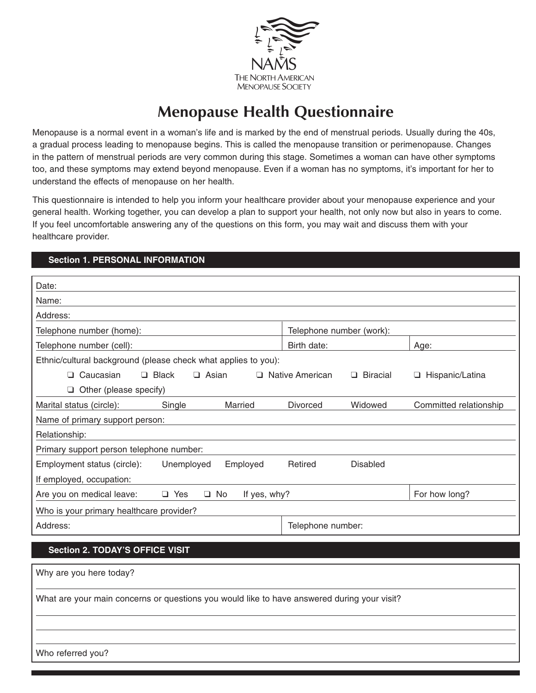

# **Menopause Health Questionnaire**

Menopause is a normal event in a woman's life and is marked by the end of menstrual periods. Usually during the 40s, a gradual process leading to menopause begins. This is called the menopause transition or perimenopause. Changes in the pattern of menstrual periods are very common during this stage. Sometimes a woman can have other symptoms too, and these symptoms may extend beyond menopause. Even if a woman has no symptoms, it's important for her to understand the effects of menopause on her health.

This questionnaire is intended to help you inform your healthcare provider about your menopause experience and your general health. Working together, you can develop a plan to support your health, not only now but also in years to come. If you feel uncomfortable answering any of the questions on this form, you may wait and discuss them with your healthcare provider.

## **Section 1. PERSONAL INFORMATION**

| Date:                                                                                       |                                      |                        |
|---------------------------------------------------------------------------------------------|--------------------------------------|------------------------|
| Name:                                                                                       |                                      |                        |
| Address:                                                                                    |                                      |                        |
| Telephone number (home):                                                                    | Telephone number (work):             |                        |
| Telephone number (cell):                                                                    | Birth date:                          | Age:                   |
| Ethnic/cultural background (please check what applies to you):                              |                                      |                        |
| $\Box$ Caucasian<br>$\Box$ Black<br>$\Box$ Asian                                            | □ Native American<br>$\Box$ Biracial | □ Hispanic/Latina      |
| $\Box$ Other (please specify)                                                               |                                      |                        |
| Marital status (circle):<br>Single<br>Married                                               | Widowed<br><b>Divorced</b>           | Committed relationship |
| Name of primary support person:                                                             |                                      |                        |
| Relationship:                                                                               |                                      |                        |
| Primary support person telephone number:                                                    |                                      |                        |
| Employment status (circle):<br>Unemployed<br>Employed                                       | Retired<br><b>Disabled</b>           |                        |
| If employed, occupation:                                                                    |                                      |                        |
| Are you on medical leave:<br>$\Box$ Yes<br>$\Box$ No<br>If yes, why?                        |                                      | For how long?          |
| Who is your primary healthcare provider?                                                    |                                      |                        |
| Address:                                                                                    | Telephone number:                    |                        |
|                                                                                             |                                      |                        |
| <b>Section 2. TODAY'S OFFICE VISIT</b>                                                      |                                      |                        |
| Why are you here today?                                                                     |                                      |                        |
| What are your main concerns or questions you would like to have answered during your visit? |                                      |                        |
|                                                                                             |                                      |                        |

Who referred you?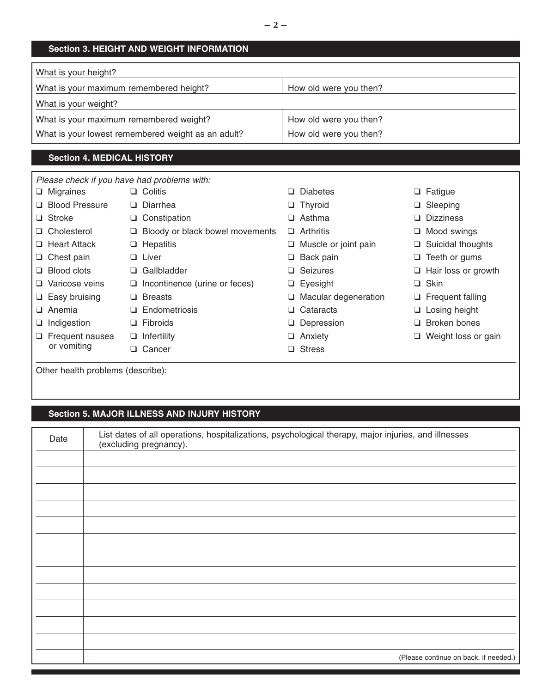#### **Section 3. HEIGHT AND WEIGHT INFORMATION**

| What is your height?                               |                        |
|----------------------------------------------------|------------------------|
| What is your maximum remembered height?            | How old were you then? |
| What is your weight?                               |                        |
| What is your maximum remembered weight?            | How old were you then? |
| What is your lowest remembered weight as an adult? | How old were you then? |

## **Section 4. MEDICAL HISTORY**

|                        | Please check if you have had problems with: |                             |                            |
|------------------------|---------------------------------------------|-----------------------------|----------------------------|
| $\Box$ Migraines       | $\Box$ Colitis                              | $\Box$ Diabetes             | $\Box$ Fatigue             |
| □ Blood Pressure       | $\Box$ Diarrhea                             | $\Box$ Thyroid              | Sleeping<br>Q.             |
| $\Box$ Stroke          | $\Box$ Constipation                         | $\Box$ Asthma               | <b>Dizziness</b><br>$\Box$ |
| □ Cholesterol          | Bloody or black bowel movements<br>⊔        | $\Box$ Arthritis            | Mood swings<br>⊔           |
| □ Heart Attack         | $\Box$ Hepatitis                            | $\Box$ Muscle or joint pain | Suicidal thoughts<br>u.    |
| $\Box$ Chest pain      | $\Box$ Liver                                | $\Box$ Back pain            | Teeth or gums<br>⊔         |
| $\Box$ Blood clots     | Gallbladder<br>ப                            | $\Box$ Seizures             | $\Box$ Hair loss or growth |
| □ Varicose veins       | $\Box$ Incontinence (urine or feces)        | $\Box$ Eyesight             | $\Box$ Skin                |
| $\Box$ Easy bruising   | <b>Breasts</b><br>□                         | $\Box$ Macular degeneration | $\Box$ Frequent falling    |
| $\Box$ Anemia          | Endometriosis<br>ப                          | $\Box$ Cataracts            | $\Box$ Losing height       |
| $\Box$ Indigestion     | Fibroids<br>⊔                               | $\Box$ Depression           | Broken bones<br>n          |
| $\Box$ Frequent nausea | Infertility<br>⊔                            | $\Box$ Anxiety              | Weight loss or gain        |
| or vomiting            | Cancer<br>H                                 | $\Box$ Stress               |                            |
|                        |                                             |                             |                            |

Other health problems (describe):

## **Section 5. MAJOR ILLNESS AND INJURY HISTORY**

| Date | List dates of all operations, hospitalizations, psychological therapy, major injuries, and illnesses<br>(excluding pregnancy). |
|------|--------------------------------------------------------------------------------------------------------------------------------|
|      |                                                                                                                                |
|      |                                                                                                                                |
|      |                                                                                                                                |
|      |                                                                                                                                |
|      |                                                                                                                                |
|      |                                                                                                                                |
|      |                                                                                                                                |
|      |                                                                                                                                |
|      |                                                                                                                                |
|      |                                                                                                                                |
|      |                                                                                                                                |
|      |                                                                                                                                |
|      | (Please continue on back, if needed.)                                                                                          |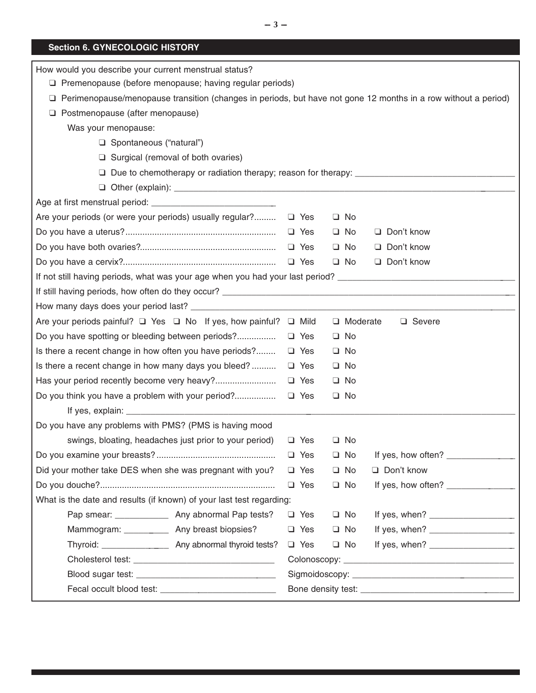# **Section 6. GYNECOLOGIC HISTORY**

| How would you describe your current menstrual status?                                                                                                                              |                                                                                                                                                                                                                                                                                                                                               |  |  |  |  |
|------------------------------------------------------------------------------------------------------------------------------------------------------------------------------------|-----------------------------------------------------------------------------------------------------------------------------------------------------------------------------------------------------------------------------------------------------------------------------------------------------------------------------------------------|--|--|--|--|
| $\Box$ Premenopause (before menopause; having regular periods)<br>□ Perimenopause/menopause transition (changes in periods, but have not gone 12 months in a row without a period) |                                                                                                                                                                                                                                                                                                                                               |  |  |  |  |
| □ Postmenopause (after menopause)                                                                                                                                                  |                                                                                                                                                                                                                                                                                                                                               |  |  |  |  |
|                                                                                                                                                                                    |                                                                                                                                                                                                                                                                                                                                               |  |  |  |  |
| Was your menopause:                                                                                                                                                                |                                                                                                                                                                                                                                                                                                                                               |  |  |  |  |
| Spontaneous ("natural")<br>$\Box$ Surgical (removal of both ovaries)                                                                                                               |                                                                                                                                                                                                                                                                                                                                               |  |  |  |  |
|                                                                                                                                                                                    | $\Box$ Due to chemotherapy or radiation therapy; reason for therapy:                                                                                                                                                                                                                                                                          |  |  |  |  |
|                                                                                                                                                                                    |                                                                                                                                                                                                                                                                                                                                               |  |  |  |  |
|                                                                                                                                                                                    |                                                                                                                                                                                                                                                                                                                                               |  |  |  |  |
| Are your periods (or were your periods) usually regular? □ Yes                                                                                                                     | $\Box$ No                                                                                                                                                                                                                                                                                                                                     |  |  |  |  |
|                                                                                                                                                                                    | Don't know<br>$\Box$ Yes<br>$\Box$ No                                                                                                                                                                                                                                                                                                         |  |  |  |  |
|                                                                                                                                                                                    | Don't know<br>$\Box$ No                                                                                                                                                                                                                                                                                                                       |  |  |  |  |
|                                                                                                                                                                                    | Don't know<br>$\Box$ No                                                                                                                                                                                                                                                                                                                       |  |  |  |  |
| If not still having periods, what was your age when you had your last period? ________________________________                                                                     |                                                                                                                                                                                                                                                                                                                                               |  |  |  |  |
|                                                                                                                                                                                    |                                                                                                                                                                                                                                                                                                                                               |  |  |  |  |
|                                                                                                                                                                                    |                                                                                                                                                                                                                                                                                                                                               |  |  |  |  |
| Are your periods painful? □ Yes □ No If yes, how painful? □ Mild                                                                                                                   | □ Moderate<br>$\Box$ Severe                                                                                                                                                                                                                                                                                                                   |  |  |  |  |
|                                                                                                                                                                                    | $\Box$ No<br>$\Box$ Yes                                                                                                                                                                                                                                                                                                                       |  |  |  |  |
| Is there a recent change in how often you have periods?                                                                                                                            | $\Box$ Yes<br>$\Box$ No                                                                                                                                                                                                                                                                                                                       |  |  |  |  |
| Is there a recent change in how many days you bleed?                                                                                                                               | $\Box$ Yes<br>$\Box$ No                                                                                                                                                                                                                                                                                                                       |  |  |  |  |
|                                                                                                                                                                                    | $\Box$ Yes<br>$\Box$ No                                                                                                                                                                                                                                                                                                                       |  |  |  |  |
| Do you think you have a problem with your period?                                                                                                                                  | $\Box$ Yes<br>$\Box$ No                                                                                                                                                                                                                                                                                                                       |  |  |  |  |
|                                                                                                                                                                                    |                                                                                                                                                                                                                                                                                                                                               |  |  |  |  |
| Do you have any problems with PMS? (PMS is having mood                                                                                                                             |                                                                                                                                                                                                                                                                                                                                               |  |  |  |  |
| swings, bloating, headaches just prior to your period)                                                                                                                             | $\Box$ Yes<br>$\Box$ No                                                                                                                                                                                                                                                                                                                       |  |  |  |  |
|                                                                                                                                                                                    | $\Box$ Yes<br>$\Box$ No<br>If yes, how often? ______________                                                                                                                                                                                                                                                                                  |  |  |  |  |
| Did your mother take DES when she was pregnant with you?                                                                                                                           | $\Box$ Yes<br>$\Box$ No<br>Don't know                                                                                                                                                                                                                                                                                                         |  |  |  |  |
|                                                                                                                                                                                    | If yes, how often? _________________<br>$\Box$ Yes<br>$\Box$ No                                                                                                                                                                                                                                                                               |  |  |  |  |
| What is the date and results (if known) of your last test regarding:                                                                                                               |                                                                                                                                                                                                                                                                                                                                               |  |  |  |  |
| Pap smear: _________________ Any abnormal Pap tests?                                                                                                                               | $\Box$ No<br>If yes, when? $\frac{1}{2}$ $\frac{1}{2}$ $\frac{1}{2}$ $\frac{1}{2}$ $\frac{1}{2}$ $\frac{1}{2}$ $\frac{1}{2}$ $\frac{1}{2}$ $\frac{1}{2}$ $\frac{1}{2}$ $\frac{1}{2}$ $\frac{1}{2}$ $\frac{1}{2}$ $\frac{1}{2}$ $\frac{1}{2}$ $\frac{1}{2}$ $\frac{1}{2}$ $\frac{1}{2}$ $\frac{1}{2}$ $\frac{1}{2}$ $\frac{1}{2$<br>$\Box$ Yes |  |  |  |  |
| Mammogram: _____________ Any breast biopsies?                                                                                                                                      | $\Box$ Yes<br>$\Box$ No                                                                                                                                                                                                                                                                                                                       |  |  |  |  |
|                                                                                                                                                                                    | $\Box$ Yes<br>$\Box$ No                                                                                                                                                                                                                                                                                                                       |  |  |  |  |
|                                                                                                                                                                                    |                                                                                                                                                                                                                                                                                                                                               |  |  |  |  |
|                                                                                                                                                                                    |                                                                                                                                                                                                                                                                                                                                               |  |  |  |  |
|                                                                                                                                                                                    |                                                                                                                                                                                                                                                                                                                                               |  |  |  |  |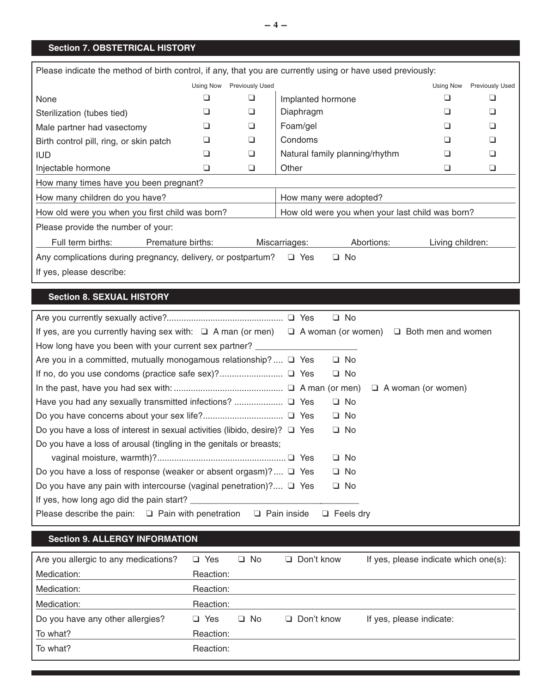## **Section 7. OBSTETRICAL HISTORY**

| Please indicate the method of birth control, if any, that you are currently using or have used previously: |                   |                        |                   |                                |                  |                 |
|------------------------------------------------------------------------------------------------------------|-------------------|------------------------|-------------------|--------------------------------|------------------|-----------------|
|                                                                                                            | Using Now         | <b>Previously Used</b> |                   |                                | Using Now        | Previously Used |
| None                                                                                                       |                   | ❏                      | Implanted hormone |                                |                  |                 |
| Sterilization (tubes tied)                                                                                 |                   | □                      | Diaphragm         |                                |                  |                 |
| Male partner had vasectomy                                                                                 |                   | ❏                      | Foam/gel          |                                |                  |                 |
| Birth control pill, ring, or skin patch                                                                    |                   | ❏                      | Condoms           |                                |                  |                 |
| <b>IUD</b>                                                                                                 |                   | ❏                      |                   | Natural family planning/rhythm |                  |                 |
| Injectable hormone                                                                                         | ⊔                 | ⊔                      | Other             |                                |                  |                 |
| How many times have you been pregnant?                                                                     |                   |                        |                   |                                |                  |                 |
| How many children do you have?<br>How many were adopted?                                                   |                   |                        |                   |                                |                  |                 |
| How old were you when you first child was born?<br>How old were you when your last child was born?         |                   |                        |                   |                                |                  |                 |
| Please provide the number of your:                                                                         |                   |                        |                   |                                |                  |                 |
| Full term births:                                                                                          | Premature births: |                        | Miscarriages:     | Abortions:                     | Living children: |                 |
| Any complications during pregnancy, delivery, or postpartum?                                               |                   |                        | $\Box$ Yes        | $\Box$ No                      |                  |                 |
| If yes, please describe:                                                                                   |                   |                        |                   |                                |                  |                 |

## **Section 8. SEXUAL HISTORY**

| $\square$ No                                                                                                         |
|----------------------------------------------------------------------------------------------------------------------|
| If yes, are you currently having sex with: $\Box$ A man (or men) $\Box$ A woman (or women) $\Box$ Both men and women |
| How long have you been with your current sex partner?                                                                |
| Are you in a committed, mutually monogamous relationship? $\Box$ Yes<br>$\Box$ No                                    |
| $\Box$ No                                                                                                            |
| $\Box$ A woman (or women)                                                                                            |
| $\Box$ No                                                                                                            |
| $\Box$ No                                                                                                            |
| $\Box$ No<br>Do you have a loss of interest in sexual activities (libido, desire)? $\Box$ Yes                        |
| Do you have a loss of arousal (tingling in the genitals or breasts;                                                  |
| $\Box$ No                                                                                                            |
| $\Box$ No<br>Do you have a loss of response (weaker or absent orgasm)? $\Box$ Yes                                    |
| $\Box$ No<br>Do you have any pain with intercourse (vaginal penetration)? $\Box$ Yes                                 |
|                                                                                                                      |
| Please describe the pain: $\Box$ Pain with penetration $\Box$ Pain inside<br>$\Box$ Feels dry                        |

#### **Section 9. ALLERGY INFORMATION**

| Are you allergic to any medications? | Yes<br>$\Box$   | $\Box$ No | $\Box$ Don't know | If yes, please indicate which one(s): |
|--------------------------------------|-----------------|-----------|-------------------|---------------------------------------|
| Medication:                          | Reaction:       |           |                   |                                       |
| Medication:                          | Reaction:       |           |                   |                                       |
| Medication:                          | Reaction:       |           |                   |                                       |
| Do you have any other allergies?     | <b>Yes</b><br>n | $\Box$ No | $\Box$ Don't know | If yes, please indicate:              |
| To what?                             | Reaction:       |           |                   |                                       |
| To what?                             | Reaction:       |           |                   |                                       |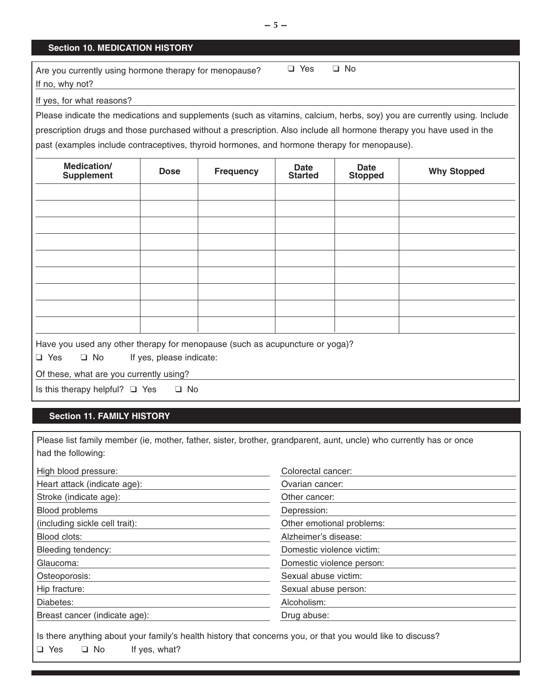#### **Section 10. MEDICATION HISTORY**

| Are you currently using hormone therapy for menopause? | □ Yes | ⊟ No |
|--------------------------------------------------------|-------|------|
| If no, why not?                                        |       |      |

#### If yes, for what reasons?

Please indicate the medications and supplements (such as vitamins, calcium, herbs, soy) you are currently using. Include

prescription drugs and those purchased without a prescription. Also include all hormone therapy you have used in the

past (examples include contraceptives, thyroid hormones, and hormone therapy for menopause).

| Medication/<br><b>Supplement</b>                                                                     | <b>Dose</b>              | <b>Frequency</b> | Date<br><b>Started</b> | <b>Date</b><br><b>Stopped</b> | <b>Why Stopped</b> |
|------------------------------------------------------------------------------------------------------|--------------------------|------------------|------------------------|-------------------------------|--------------------|
|                                                                                                      |                          |                  |                        |                               |                    |
|                                                                                                      |                          |                  |                        |                               |                    |
|                                                                                                      |                          |                  |                        |                               |                    |
|                                                                                                      |                          |                  |                        |                               |                    |
|                                                                                                      |                          |                  |                        |                               |                    |
|                                                                                                      |                          |                  |                        |                               |                    |
|                                                                                                      |                          |                  |                        |                               |                    |
|                                                                                                      |                          |                  |                        |                               |                    |
|                                                                                                      |                          |                  |                        |                               |                    |
| Have you used any other therapy for menopause (such as acupuncture or yoga)?<br>$\Box$ Yes $\Box$ No | If yes, please indicate: |                  |                        |                               |                    |
| Of these, what are you currently using?                                                              |                          |                  |                        |                               |                    |
| Is this therapy helpful? $\Box$ Yes                                                                  | $\Box$ No                |                  |                        |                               |                    |

#### **Section 11. FAMILY HISTORY**

Please list family member (ie, mother, father, sister, brother, grandparent, aunt, uncle) who currently has or once had the following:

| High blood pressure:           | Colorectal cancer:        |  |
|--------------------------------|---------------------------|--|
| Heart attack (indicate age):   | Ovarian cancer:           |  |
| Stroke (indicate age):         | Other cancer:             |  |
| Blood problems                 | Depression:               |  |
| (including sickle cell trait): | Other emotional problems: |  |
| Blood clots:                   | Alzheimer's disease:      |  |
| Bleeding tendency:             | Domestic violence victim: |  |
| Glaucoma:                      | Domestic violence person: |  |
| Osteoporosis:                  | Sexual abuse victim:      |  |
| Hip fracture:                  | Sexual abuse person:      |  |
| Diabetes:                      | Alcoholism:               |  |
| Breast cancer (indicate age):  | Drug abuse:               |  |

Is there anything about your family's health history that concerns you, or that you would like to discuss? ❑ Yes ❑ No If yes, what?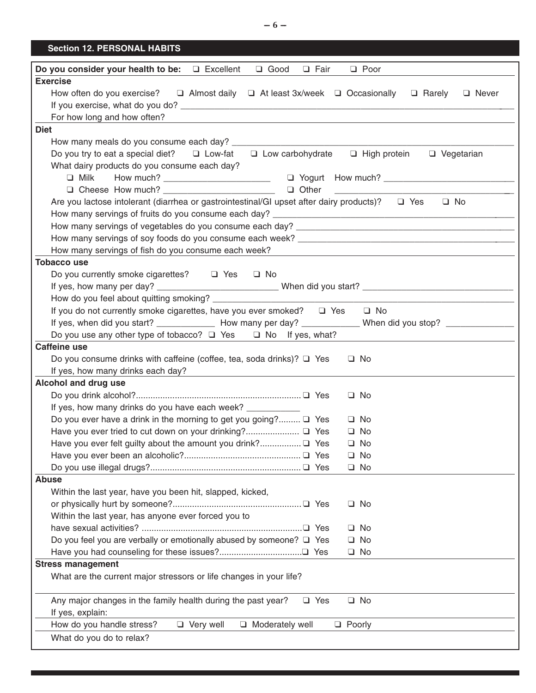## **Section 12. PERSONAL HABITS**

| <b>Q</b> Fair<br>Do you consider your health to be:<br>$\Box$ Excellent<br>$\Box$ Good<br>$\Box$ Poor                                |
|--------------------------------------------------------------------------------------------------------------------------------------|
| <b>Exercise</b>                                                                                                                      |
| How often do you exercise?<br>$\Box$ Almost daily $\Box$ At least 3x/week $\Box$ Occasionally<br>$\Box$ Rarely<br>□ Never            |
|                                                                                                                                      |
| For how long and how often?                                                                                                          |
| <b>Diet</b>                                                                                                                          |
|                                                                                                                                      |
| Do you try to eat a special diet? $\Box$ Low-fat $\Box$ Low carbohydrate $\Box$ High protein<br>□ Vegetarian                         |
| What dairy products do you consume each day?                                                                                         |
| $\Box$ Milk                                                                                                                          |
| $\Box$ Other<br><u> 2000 - Jan James James James James James James James James James James James James James James James James J</u> |
| Are you lactose intolerant (diarrhea or gastrointestinal/GI upset after dairy products)? $\Box$ Yes<br>$\Box$ No                     |
|                                                                                                                                      |
|                                                                                                                                      |
|                                                                                                                                      |
| How many servings of fish do you consume each week?                                                                                  |
| <b>Tobacco use</b>                                                                                                                   |
| Do you currently smoke cigarettes? □ Yes □ No                                                                                        |
|                                                                                                                                      |
|                                                                                                                                      |
| If you do not currently smoke cigarettes, have you ever smoked? $\Box$ Yes<br>$\Box$ No                                              |
| If yes, when did you start? _______________ How many per day? _____________ When did you stop? ______________                        |
| Do you use any other type of tobacco? $\Box$ Yes $\Box$ No If yes, what?                                                             |
| <b>Caffeine use</b>                                                                                                                  |
| Do you consume drinks with caffeine (coffee, tea, soda drinks)? $\Box$ Yes<br>$\Box$ No                                              |
|                                                                                                                                      |
| If yes, how many drinks each day?<br>the contract of the contract of the contract of the contract of                                 |
| Alcohol and drug use                                                                                                                 |
| $\Box$ No                                                                                                                            |
| If yes, how many drinks do you have each week? _________                                                                             |
| Do you ever have a drink in the morning to get you going? □ Yes<br>$\Box$ No                                                         |
| $\Box$ No                                                                                                                            |
| $\Box$ No                                                                                                                            |
| $\Box$ No                                                                                                                            |
| $\Box$ No                                                                                                                            |
| <b>Abuse</b>                                                                                                                         |
| Within the last year, have you been hit, slapped, kicked,                                                                            |
| $\Box$ No                                                                                                                            |
| Within the last year, has anyone ever forced you to                                                                                  |
| $\Box$ No                                                                                                                            |
| Do you feel you are verbally or emotionally abused by someone? $\square$ Yes<br>$\Box$ No                                            |
| $\Box$ No                                                                                                                            |
| <b>Stress management</b>                                                                                                             |
| What are the current major stressors or life changes in your life?                                                                   |
| Any major changes in the family health during the past year?<br>$\Box$ Yes<br>$\Box$ No                                              |
| If yes, explain:                                                                                                                     |
| How do you handle stress?<br>$\Box$ Very well<br>$\Box$ Moderately well<br>$\Box$ Poorly                                             |
| What do you do to relax?                                                                                                             |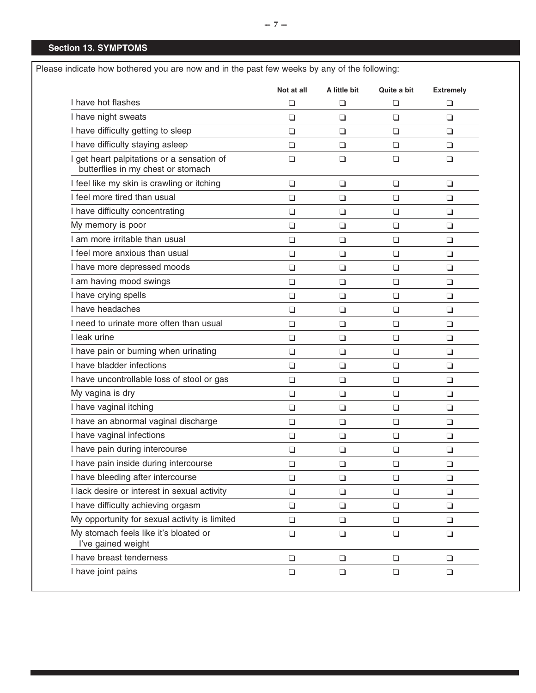|                                                                                  | Not at all | A little bit | Quite a bit | <b>Extremely</b> |
|----------------------------------------------------------------------------------|------------|--------------|-------------|------------------|
| I have hot flashes                                                               | $\Box$     | $\Box$       | $\Box$      | $\Box$           |
| I have night sweats                                                              | $\Box$     | $\Box$       | ❏           | $\Box$           |
| I have difficulty getting to sleep                                               | $\Box$     | ❏            | $\Box$      |                  |
| I have difficulty staying asleep                                                 | $\Box$     | $\Box$       | $\Box$      |                  |
| I get heart palpitations or a sensation of<br>butterflies in my chest or stomach | $\Box$     | $\Box$       | $\Box$      | $\Box$           |
| I feel like my skin is crawling or itching                                       | $\Box$     | $\Box$       | ❏           |                  |
| I feel more tired than usual                                                     | $\Box$     | $\Box$       | $\Box$      |                  |
| I have difficulty concentrating                                                  | $\Box$     | $\Box$       | $\Box$      |                  |
| My memory is poor                                                                | $\Box$     | ❏            | ❏           |                  |
| I am more irritable than usual                                                   | $\Box$     | $\Box$       | $\Box$      |                  |
| I feel more anxious than usual                                                   | $\Box$     | $\Box$       | $\Box$      |                  |
| I have more depressed moods                                                      | $\Box$     | ❏            | ❏           |                  |
| I am having mood swings                                                          | $\Box$     | $\Box$       | $\Box$      |                  |
| I have crying spells                                                             | $\Box$     | $\Box$       | $\Box$      |                  |
| I have headaches                                                                 | $\Box$     | ❏            | ❏           |                  |
| I need to urinate more often than usual                                          | $\Box$     | $\Box$       | $\Box$      |                  |
| I leak urine                                                                     | $\Box$     | $\Box$       | $\Box$      |                  |
| I have pain or burning when urinating                                            | $\Box$     | $\Box$       | ❏           |                  |
| I have bladder infections                                                        | $\Box$     | $\Box$       | $\Box$      |                  |
| I have uncontrollable loss of stool or gas                                       | $\Box$     | $\Box$       | $\Box$      |                  |
| My vagina is dry                                                                 | $\Box$     | ❏            | ❏           |                  |
| I have vaginal itching                                                           | $\Box$     | $\Box$       | $\Box$      |                  |
| I have an abnormal vaginal discharge                                             | $\Box$     | $\Box$       | $\Box$      |                  |
| I have vaginal infections                                                        | ❏          | ❏            | ❏           |                  |
| I have pain during intercourse                                                   | $\Box$     | $\Box$       | $\Box$      |                  |
| I have pain inside during intercourse                                            | $\Box$     | $\Box$       | $\Box$      |                  |
| I have bleeding after intercourse                                                | $\Box$     | ❏            | $\Box$      |                  |
| I lack desire or interest in sexual activity                                     | $\Box$     | $\Box$       | $\Box$      |                  |
| I have difficulty achieving orgasm                                               | $\Box$     | $\Box$       | $\Box$      |                  |
| My opportunity for sexual activity is limited                                    | ❏          | $\Box$       | ❏           |                  |
| My stomach feels like it's bloated or<br>I've gained weight                      | $\Box$     | $\Box$       | $\Box$      |                  |
| I have breast tenderness                                                         | $\Box$     | $\Box$       | $\Box$      |                  |
| I have joint pains                                                               | $\Box$     | $\Box$       | $\Box$      |                  |